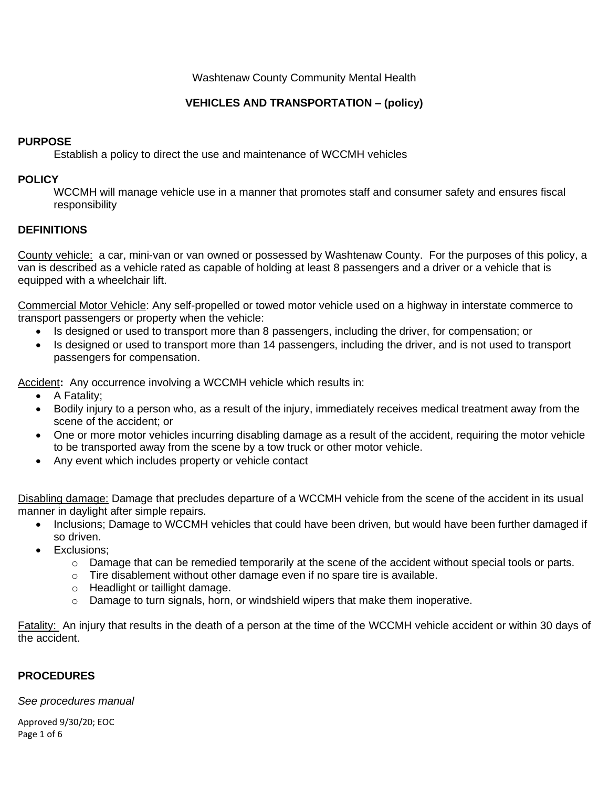### Washtenaw County Community Mental Health

# **VEHICLES AND TRANSPORTATION – (policy)**

## **PURPOSE**

Establish a policy to direct the use and maintenance of WCCMH vehicles

## **POLICY**

WCCMH will manage vehicle use in a manner that promotes staff and consumer safety and ensures fiscal responsibility

## **DEFINITIONS**

County vehicle: a car, mini-van or van owned or possessed by Washtenaw County. For the purposes of this policy, a van is described as a vehicle rated as capable of holding at least 8 passengers and a driver or a vehicle that is equipped with a wheelchair lift.

Commercial Motor Vehicle: Any self-propelled or towed motor vehicle used on a highway in interstate commerce to transport passengers or property when the vehicle:

- Is designed or used to transport more than 8 passengers, including the driver, for compensation; or
- Is designed or used to transport more than 14 passengers, including the driver, and is not used to transport passengers for compensation.

Accident**:** Any occurrence involving a WCCMH vehicle which results in:

- A Fatality;
- Bodily injury to a person who, as a result of the injury, immediately receives medical treatment away from the scene of the accident; or
- One or more motor vehicles incurring disabling damage as a result of the accident, requiring the motor vehicle to be transported away from the scene by a tow truck or other motor vehicle.
- Any event which includes property or vehicle contact

Disabling damage: Damage that precludes departure of a WCCMH vehicle from the scene of the accident in its usual manner in daylight after simple repairs.

- Inclusions; Damage to WCCMH vehicles that could have been driven, but would have been further damaged if so driven.
- Exclusions;
	- o Damage that can be remedied temporarily at the scene of the accident without special tools or parts.
	- o Tire disablement without other damage even if no spare tire is available.
	- o Headlight or taillight damage.
	- $\circ$  Damage to turn signals, horn, or windshield wipers that make them inoperative.

Fatality: An injury that results in the death of a person at the time of the WCCMH vehicle accident or within 30 days of the accident.

#### **PROCEDURES**

*See procedures manual*

Approved 9/30/20; EOC Page 1 of 6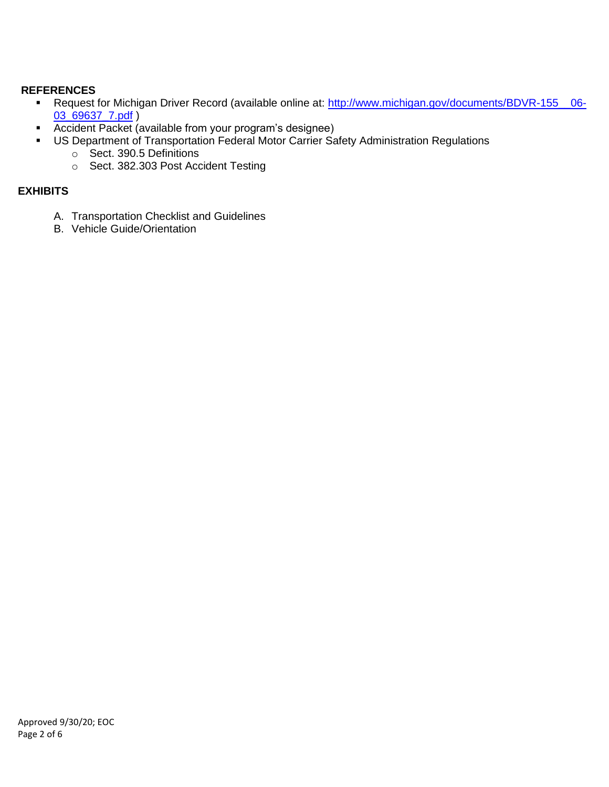# **REFERENCES**

- Request for Michigan Driver Record (available online at: http://www.michigan.gov/documents/BDVR-155\_06-[03\\_69637\\_7.pdf](http://www.michigan.gov/documents/BDVR-155__06-03_69637_7.pdf) )
- Accident Packet (available from your program's designee)
- **US Department of Transportation Federal Motor Carrier Safety Administration Regulations** 
	- o Sect. 390.5 Definitions
	- o Sect. 382.303 Post Accident Testing

# **EXHIBITS**

- A. Transportation Checklist and Guidelines
- B. Vehicle Guide/Orientation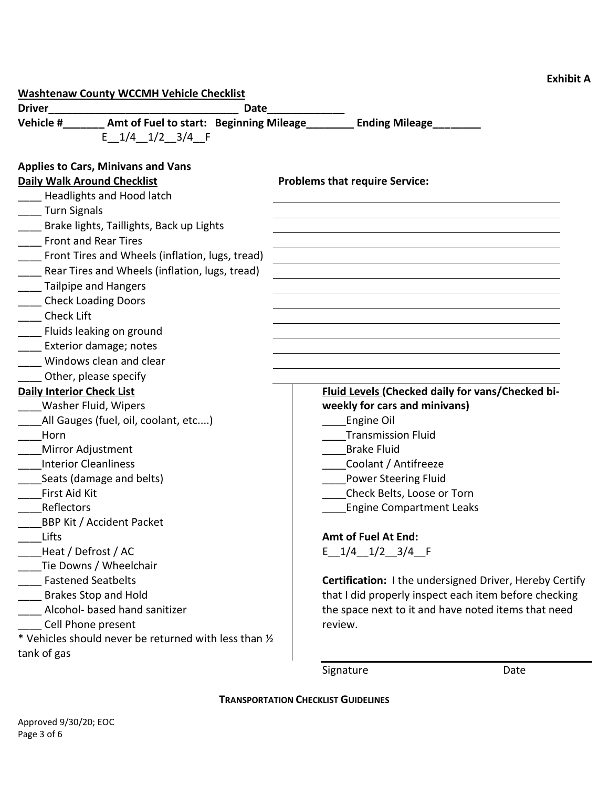| <b>Washtenaw County WCCMH Vehicle Checklist</b>                                    |                                       |                                                         |
|------------------------------------------------------------------------------------|---------------------------------------|---------------------------------------------------------|
| <b>Driver</b><br>Date                                                              |                                       |                                                         |
| Vehicle #_______ Amt of Fuel to start: Beginning Mileage_______ Ending Mileage____ |                                       |                                                         |
| $E$ 1/4 1/2 3/4 F                                                                  |                                       |                                                         |
|                                                                                    |                                       |                                                         |
| <b>Applies to Cars, Minivans and Vans</b>                                          |                                       |                                                         |
| <b>Daily Walk Around Checklist</b>                                                 | <b>Problems that require Service:</b> |                                                         |
| Headlights and Hood latch                                                          |                                       |                                                         |
| Turn Signals                                                                       |                                       |                                                         |
| Brake lights, Taillights, Back up Lights                                           |                                       |                                                         |
| <b>Front and Rear Tires</b>                                                        |                                       |                                                         |
| Front Tires and Wheels (inflation, lugs, tread)                                    |                                       |                                                         |
| Rear Tires and Wheels (inflation, lugs, tread)                                     |                                       |                                                         |
| Tailpipe and Hangers                                                               |                                       |                                                         |
| <b>Check Loading Doors</b>                                                         |                                       |                                                         |
| <b>Check Lift</b>                                                                  |                                       |                                                         |
| Fluids leaking on ground                                                           |                                       |                                                         |
| Exterior damage; notes                                                             |                                       |                                                         |
| Windows clean and clear                                                            |                                       |                                                         |
| Other, please specify                                                              |                                       |                                                         |
| <b>Daily Interior Check List</b>                                                   |                                       | Fluid Levels (Checked daily for vans/Checked bi-        |
| Washer Fluid, Wipers                                                               |                                       | weekly for cars and minivans)                           |
| All Gauges (fuel, oil, coolant, etc)                                               |                                       | Engine Oil                                              |
| Horn                                                                               |                                       | <b>Transmission Fluid</b>                               |
| Mirror Adjustment                                                                  |                                       | <b>Brake Fluid</b>                                      |
| <b>Interior Cleanliness</b>                                                        |                                       | Coolant / Antifreeze                                    |
| Seats (damage and belts)                                                           |                                       | <b>Power Steering Fluid</b>                             |
| First Aid Kit                                                                      |                                       | Check Belts, Loose or Torn                              |
| Reflectors                                                                         |                                       | <b>Engine Compartment Leaks</b>                         |
| <b>BBP Kit / Accident Packet</b>                                                   |                                       |                                                         |
| Lifts                                                                              |                                       | <b>Amt of Fuel At End:</b>                              |
| Heat / Defrost / AC                                                                |                                       | $E$ 1/4 1/2 3/4 F                                       |
| Tie Downs / Wheelchair                                                             |                                       |                                                         |
| <b>Fastened Seatbelts</b>                                                          |                                       | Certification: I the undersigned Driver, Hereby Certify |
| <b>Brakes Stop and Hold</b>                                                        |                                       | that I did properly inspect each item before checking   |
| Alcohol- based hand sanitizer                                                      |                                       | the space next to it and have noted items that need     |
| Cell Phone present                                                                 | review.                               |                                                         |
| * Vehicles should never be returned with less than 1/2                             |                                       |                                                         |
| tank of gas                                                                        |                                       |                                                         |
|                                                                                    | Signature                             | Date                                                    |

**Exhibit A**

**TRANSPORTATION CHECKLIST GUIDELINES**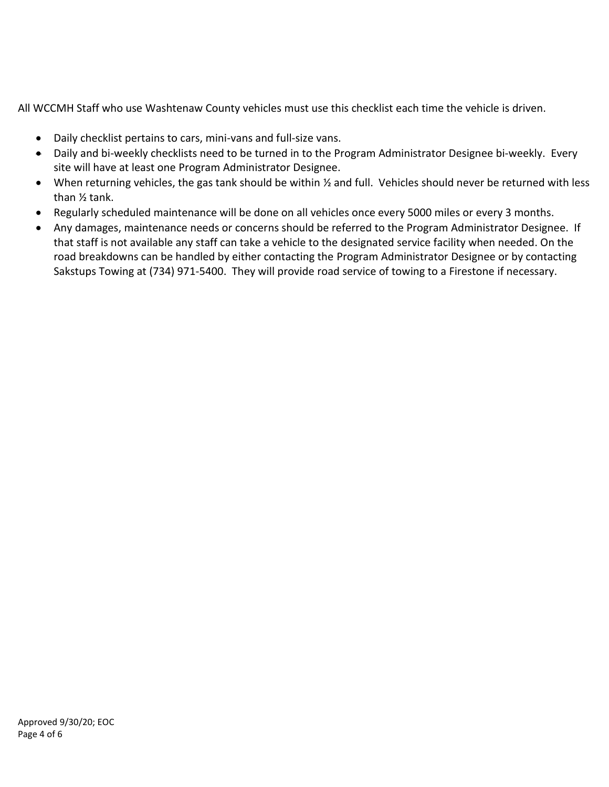All WCCMH Staff who use Washtenaw County vehicles must use this checklist each time the vehicle is driven.

- Daily checklist pertains to cars, mini-vans and full-size vans.
- Daily and bi-weekly checklists need to be turned in to the Program Administrator Designee bi-weekly. Every site will have at least one Program Administrator Designee.
- When returning vehicles, the gas tank should be within ½ and full. Vehicles should never be returned with less than ½ tank.
- Regularly scheduled maintenance will be done on all vehicles once every 5000 miles or every 3 months.
- Any damages, maintenance needs or concerns should be referred to the Program Administrator Designee. If that staff is not available any staff can take a vehicle to the designated service facility when needed. On the road breakdowns can be handled by either contacting the Program Administrator Designee or by contacting Sakstups Towing at (734) 971-5400. They will provide road service of towing to a Firestone if necessary.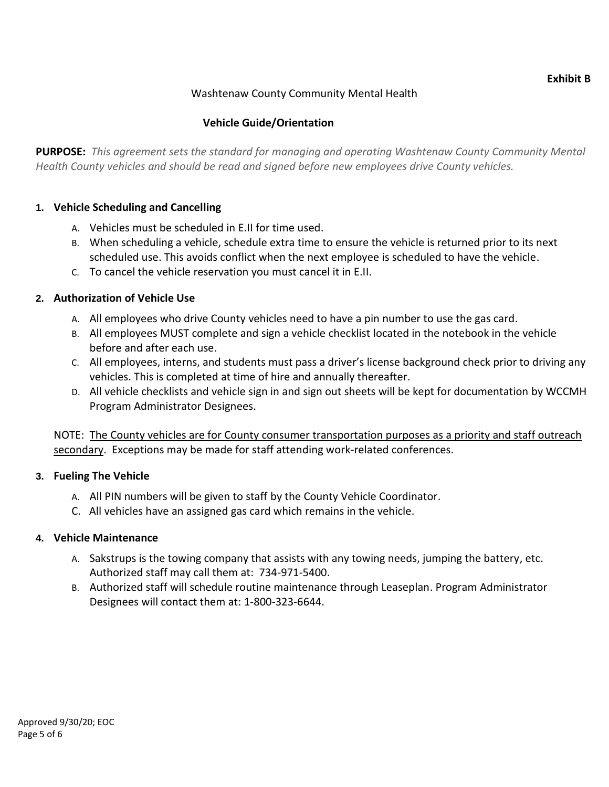#### **Exhibit B**

# Washtenaw County Community Mental Health

# **Vehicle Guide/Orientation**

**PURPOSE:** *This agreement sets the standard for managing and operating Washtenaw County Community Mental Health County vehicles and should be read and signed before new employees drive County vehicles.*

#### **1. Vehicle Scheduling and Cancelling**

- A. Vehicles must be scheduled in E.II for time used.
- B. When scheduling a vehicle, schedule extra time to ensure the vehicle is returned prior to its next scheduled use. This avoids conflict when the next employee is scheduled to have the vehicle.
- C. To cancel the vehicle reservation you must cancel it in E.II.

## **2. Authorization of Vehicle Use**

- A. All employees who drive County vehicles need to have a pin number to use the gas card.
- B. All employees MUST complete and sign a vehicle checklist located in the notebook in the vehicle before and after each use.
- C. All employees, interns, and students must pass a driver's license background check prior to driving any vehicles. This is completed at time of hire and annually thereafter.
- D. All vehicle checklists and vehicle sign in and sign out sheets will be kept for documentation by WCCMH Program Administrator Designees.

NOTE: The County vehicles are for County consumer transportation purposes as a priority and staff outreach secondary. Exceptions may be made for staff attending work-related conferences.

#### **3. Fueling The Vehicle**

- A. All PIN numbers will be given to staff by the County Vehicle Coordinator.
- C. All vehicles have an assigned gas card which remains in the vehicle.

#### **4. Vehicle Maintenance**

- A. Sakstrups is the towing company that assists with any towing needs, jumping the battery, etc. Authorized staff may call them at: 734-971-5400.
- B. Authorized staff will schedule routine maintenance through Leaseplan. Program Administrator Designees will contact them at: 1-800-323-6644.